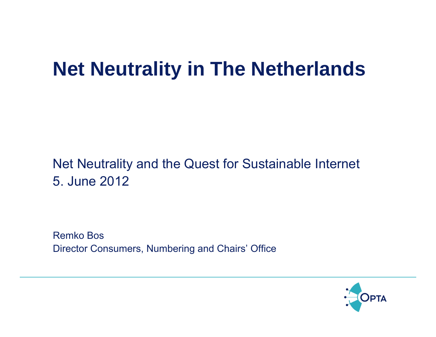# **Net Neutrality in The Netherlands**

#### Net Neutrality and the Quest for Sustainable Internet 5. June 2012

Remko Bos Director Consumers, Numbering and Chairs' Office

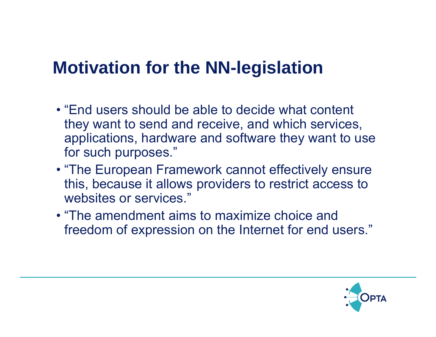### **Motivation for the NN-legislation**

- "End users should be able to decide what content they want to send and receive, and which services, applications, hardware and software they want to use for such purposes."
- "The European Framework cannot effectively ensure this, because it allows providers to restrict access to websites or services."
- "The amendment aims to maximize choice and freedom of expression on the Internet for end users."

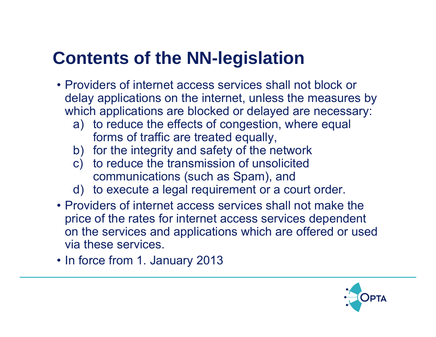## **Contents of the NN-legislation**

- Providers of internet access services shall not block or delay applications on the internet, unless the measures by which applications are blocked or delayed are necessary:
	- a) to reduce the effects of congestion, where equal forms of traffic are treated equally,
	- b) for the integrity and safety of the network
	- c) to reduce the transmission of unsolicited communications (such as Spam), and
	- d) to execute a legal requirement or a court order.
- Providers of internet access services shall not make the price of the rates for internet access services dependent on the services and applications which are offered or used via these services.
- In force from 1. January 2013

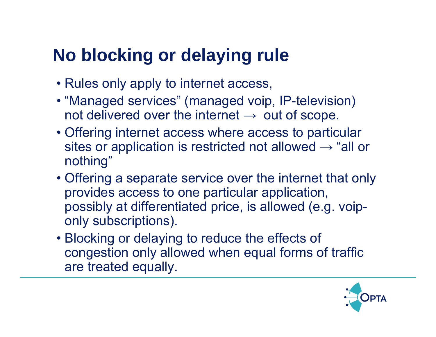## **No blocking or delaying rule**

- Rules only apply to internet access,
- "Managed services" (managed voip, IP-television) not delivered over the internet  $\rightarrow \,$  out of scope.
- Offering internet access where access to particular sites or application is restricted not allowed  $\rightarrow$  "all or nothing"
- Offering a separate service over the internet that only provides access to one particular application, possibly at differentiated price, is allowed (e.g. voiponly subscriptions).
- Blocking or delaying to reduce the effects of congestion only allowed when equal forms of traffic are treated equally.

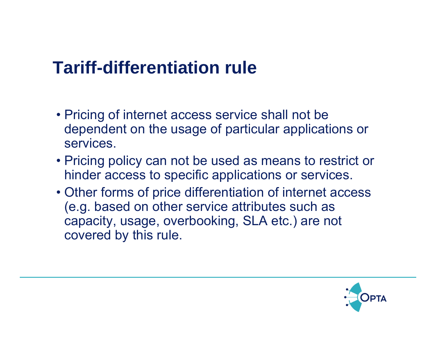### **Tariff-differentiation rule**

- Pricing of internet access service shall not be dependent on the usage of particular applications or services.
- Pricing policy can not be used as means to restrict or hinder access to specific applications or services.
- Other forms of price differentiation of internet access (e.g. based on other service attributes such as capacity, usage, overbooking, SLA etc.) are not covered by this rule.

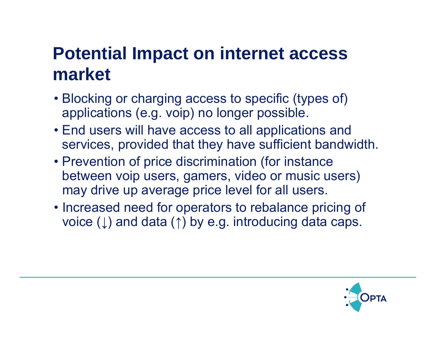## **Potential Impact on internet access market**

- Blocking or charging access to specific (types of) applications (e.g. voip) no longer possible.
- End users will have access to all applications and services, provided that they have sufficient bandwidth.
- Prevention of price discrimination (for instance between voip users, gamers, video or music users) may drive up average price level for all users.
- Increased need for operators to rebalance pricing of voice (↓) and data (↑) by e.g. introducing data caps.

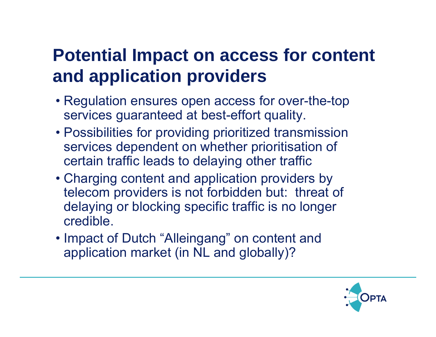## **Potential Impact on access for content and application providers**

- Regulation ensures open access for over-the-top services guaranteed at best-effort quality.
- Possibilities for providing prioritized transmission services dependent on whether prioritisation of certain traffic leads to delaying other traffic
- Charging content and application providers by telecom providers is not forbidden but: threat of delaying or blocking specific traffic is no longer credible.
- Impact of Dutch "Alleingang" on content and application market (in NL and globally)?

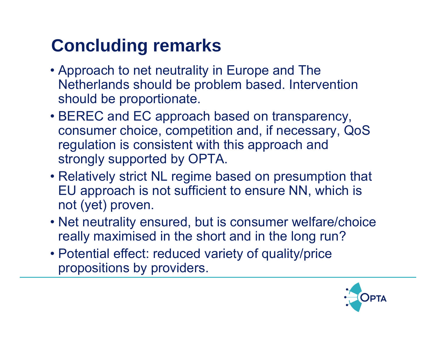## **Concluding remarks**

- Approach to net neutrality in Europe and The Netherlands should be problem based. Intervention should be proportionate.
- BEREC and EC approach based on transparency, consumer choice, competition and, if necessary, QoS regulation is consistent with this approach and strongly supported by OPTA.
- Relatively strict NL regime based on presumption that EU approach is not sufficient to ensure NN, which is not (yet) proven.
- Net neutrality ensured, but is consumer welfare/choice really maximised in the short and in the long run?
- Potential effect: reduced variety of quality/price propositions by providers.